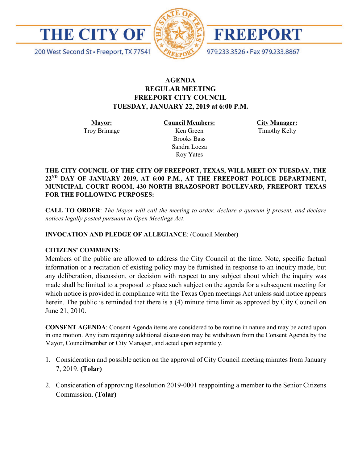

200 West Second St · Freeport, TX 77541



FREEPORT

979.233.3526 · Fax 979.233.8867

# **AGENDA REGULAR MEETING FREEPORT CITY COUNCIL TUESDAY, JANUARY 22, 2019 at 6:00 P.M.**

**Mayor:** Troy Brimage **Council Members:** Ken Green

> Brooks Bass Sandra Loeza Roy Yates

**City Manager:**

Timothy Kelty

**THE CITY COUNCIL OF THE CITY OF FREEPORT, TEXAS, WILL MEET ON TUESDAY, THE 22ND DAY OF JANUARY 2019, AT 6:00 P.M., AT THE FREEPORT POLICE DEPARTMENT, MUNICIPAL COURT ROOM, 430 NORTH BRAZOSPORT BOULEVARD, FREEPORT TEXAS FOR THE FOLLOWING PURPOSES:**

**CALL TO ORDER**: *The Mayor will call the meeting to order, declare a quorum if present, and declare notices legally posted pursuant to Open Meetings Act*.

**INVOCATION AND PLEDGE OF ALLEGIANCE**: (Council Member)

## **CITIZENS' COMMENTS**:

Members of the public are allowed to address the City Council at the time. Note, specific factual information or a recitation of existing policy may be furnished in response to an inquiry made, but any deliberation, discussion, or decision with respect to any subject about which the inquiry was made shall be limited to a proposal to place such subject on the agenda for a subsequent meeting for which notice is provided in compliance with the Texas Open meetings Act unless said notice appears herein. The public is reminded that there is a (4) minute time limit as approved by City Council on June 21, 2010.

**CONSENT AGENDA**: Consent Agenda items are considered to be routine in nature and may be acted upon in one motion. Any item requiring additional discussion may be withdrawn from the Consent Agenda by the Mayor, Councilmember or City Manager, and acted upon separately.

- 1. Consideration and possible action on the approval of City Council meeting minutes from January 7, 2019. **(Tolar)**
- 2. Consideration of approving Resolution 2019-0001 reappointing a member to the Senior Citizens Commission. **(Tolar)**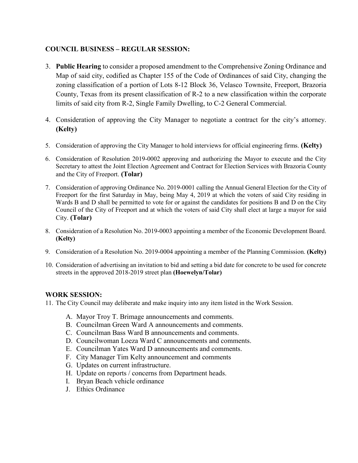# **COUNCIL BUSINESS – REGULAR SESSION:**

- 3. **Public Hearing** to consider a proposed amendment to the Comprehensive Zoning Ordinance and Map of said city, codified as Chapter 155 of the Code of Ordinances of said City, changing the zoning classification of a portion of Lots 8-12 Block 36, Velasco Townsite, Freeport, Brazoria County, Texas from its present classification of R-2 to a new classification within the corporate limits of said city from R-2, Single Family Dwelling, to C-2 General Commercial.
- 4. Consideration of approving the City Manager to negotiate a contract for the city's attorney. **(Kelty)**
- 5. Consideration of approving the City Manager to hold interviews for official engineering firms. **(Kelty)**
- 6. Consideration of Resolution 2019-0002 approving and authorizing the Mayor to execute and the City Secretary to attest the Joint Election Agreement and Contract for Election Services with Brazoria County and the City of Freeport. **(Tolar)**
- 7. Consideration of approving Ordinance No. 2019-0001 calling the Annual General Election for the City of Freeport for the first Saturday in May, being May 4, 2019 at which the voters of said City residing in Wards B and D shall be permitted to vote for or against the candidates for positions B and D on the City Council of the City of Freeport and at which the voters of said City shall elect at large a mayor for said City. **(Tolar)**
- 8. Consideration of a Resolution No. 2019-0003 appointing a member of the Economic Development Board. **(Kelty)**
- 9. Consideration of a Resolution No. 2019-0004 appointing a member of the Planning Commission. **(Kelty)**
- 10. Consideration of advertising an invitation to bid and setting a bid date for concrete to be used for concrete streets in the approved 2018-2019 street plan **(Hoewelyn/Tolar)**

## **WORK SESSION:**

11. The City Council may deliberate and make inquiry into any item listed in the Work Session.

- A. Mayor Troy T. Brimage announcements and comments.
- B. Councilman Green Ward A announcements and comments.
- C. Councilman Bass Ward B announcements and comments.
- D. Councilwoman Loeza Ward C announcements and comments.
- E. Councilman Yates Ward D announcements and comments.
- F. City Manager Tim Kelty announcement and comments
- G. Updates on current infrastructure.
- H. Update on reports / concerns from Department heads.
- I. Bryan Beach vehicle ordinance
- J. Ethics Ordinance